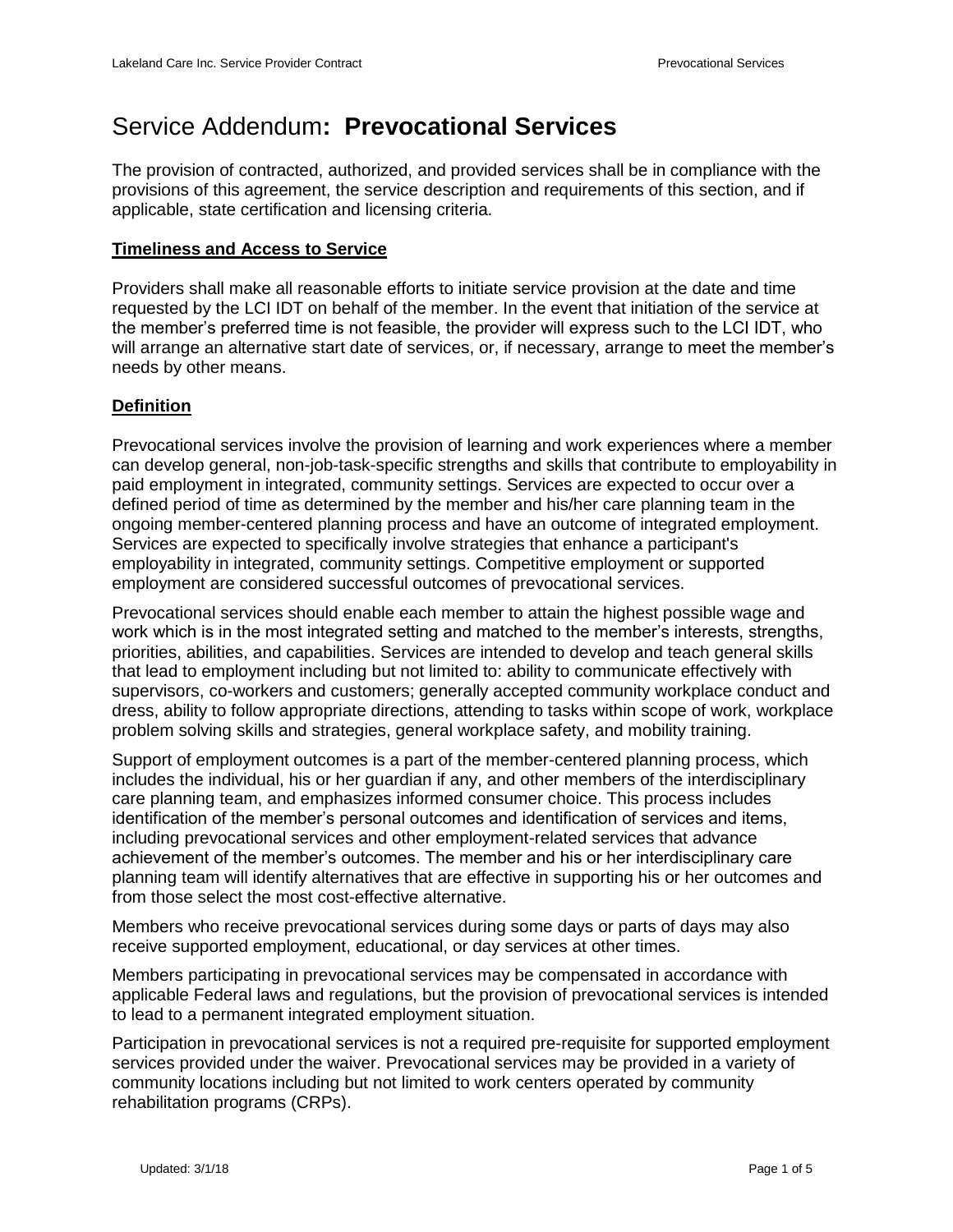# Service Addendum**: Prevocational Services**

The provision of contracted, authorized, and provided services shall be in compliance with the provisions of this agreement, the service description and requirements of this section, and if applicable, state certification and licensing criteria.

#### **Timeliness and Access to Service**

Providers shall make all reasonable efforts to initiate service provision at the date and time requested by the LCI IDT on behalf of the member. In the event that initiation of the service at the member's preferred time is not feasible, the provider will express such to the LCI IDT, who will arrange an alternative start date of services, or, if necessary, arrange to meet the member's needs by other means.

## **Definition**

Prevocational services involve the provision of learning and work experiences where a member can develop general, non-job-task-specific strengths and skills that contribute to employability in paid employment in integrated, community settings. Services are expected to occur over a defined period of time as determined by the member and his/her care planning team in the ongoing member-centered planning process and have an outcome of integrated employment. Services are expected to specifically involve strategies that enhance a participant's employability in integrated, community settings. Competitive employment or supported employment are considered successful outcomes of prevocational services.

Prevocational services should enable each member to attain the highest possible wage and work which is in the most integrated setting and matched to the member's interests, strengths, priorities, abilities, and capabilities. Services are intended to develop and teach general skills that lead to employment including but not limited to: ability to communicate effectively with supervisors, co-workers and customers; generally accepted community workplace conduct and dress, ability to follow appropriate directions, attending to tasks within scope of work, workplace problem solving skills and strategies, general workplace safety, and mobility training.

Support of employment outcomes is a part of the member-centered planning process, which includes the individual, his or her guardian if any, and other members of the interdisciplinary care planning team, and emphasizes informed consumer choice. This process includes identification of the member's personal outcomes and identification of services and items, including prevocational services and other employment-related services that advance achievement of the member's outcomes. The member and his or her interdisciplinary care planning team will identify alternatives that are effective in supporting his or her outcomes and from those select the most cost-effective alternative.

Members who receive prevocational services during some days or parts of days may also receive supported employment, educational, or day services at other times.

Members participating in prevocational services may be compensated in accordance with applicable Federal laws and regulations, but the provision of prevocational services is intended to lead to a permanent integrated employment situation.

Participation in prevocational services is not a required pre-requisite for supported employment services provided under the waiver. Prevocational services may be provided in a variety of community locations including but not limited to work centers operated by community rehabilitation programs (CRPs).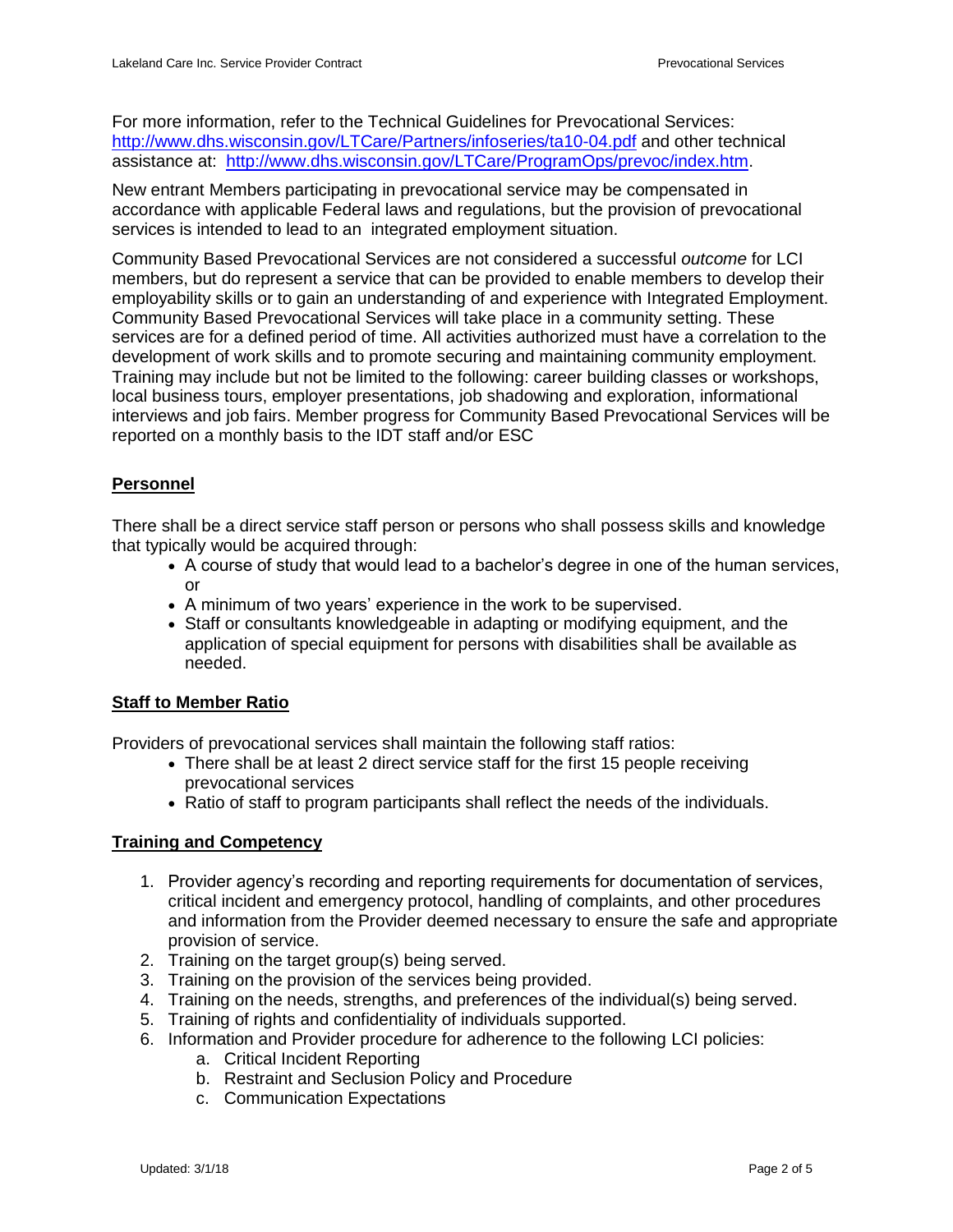For more information, refer to the Technical Guidelines for Prevocational Services: <http://www.dhs.wisconsin.gov/LTCare/Partners/infoseries/ta10-04.pdf> and other technical assistance at: [http://www.dhs.wisconsin.gov/LTCare/ProgramOps/prevoc/index.htm.](http://www.dhs.wisconsin.gov/LTCare/ProgramOps/prevoc/index.htm)

New entrant Members participating in prevocational service may be compensated in accordance with applicable Federal laws and regulations, but the provision of prevocational services is intended to lead to an integrated employment situation.

Community Based Prevocational Services are not considered a successful *outcome* for LCI members, but do represent a service that can be provided to enable members to develop their employability skills or to gain an understanding of and experience with Integrated Employment. Community Based Prevocational Services will take place in a community setting. These services are for a defined period of time. All activities authorized must have a correlation to the development of work skills and to promote securing and maintaining community employment. Training may include but not be limited to the following: career building classes or workshops, local business tours, employer presentations, job shadowing and exploration, informational interviews and job fairs. Member progress for Community Based Prevocational Services will be reported on a monthly basis to the IDT staff and/or ESC

# **Personnel**

There shall be a direct service staff person or persons who shall possess skills and knowledge that typically would be acquired through:

- A course of study that would lead to a bachelor's degree in one of the human services, or
- A minimum of two years' experience in the work to be supervised.
- Staff or consultants knowledgeable in adapting or modifying equipment, and the application of special equipment for persons with disabilities shall be available as needed.

## **Staff to Member Ratio**

Providers of prevocational services shall maintain the following staff ratios:

- There shall be at least 2 direct service staff for the first 15 people receiving prevocational services
- Ratio of staff to program participants shall reflect the needs of the individuals.

## **Training and Competency**

- 1. Provider agency's recording and reporting requirements for documentation of services, critical incident and emergency protocol, handling of complaints, and other procedures and information from the Provider deemed necessary to ensure the safe and appropriate provision of service.
- 2. Training on the target group(s) being served.
- 3. Training on the provision of the services being provided.
- 4. Training on the needs, strengths, and preferences of the individual(s) being served.
- 5. Training of rights and confidentiality of individuals supported.
- 6. Information and Provider procedure for adherence to the following LCI policies:
	- a. Critical Incident Reporting
	- b. Restraint and Seclusion Policy and Procedure
	- c. Communication Expectations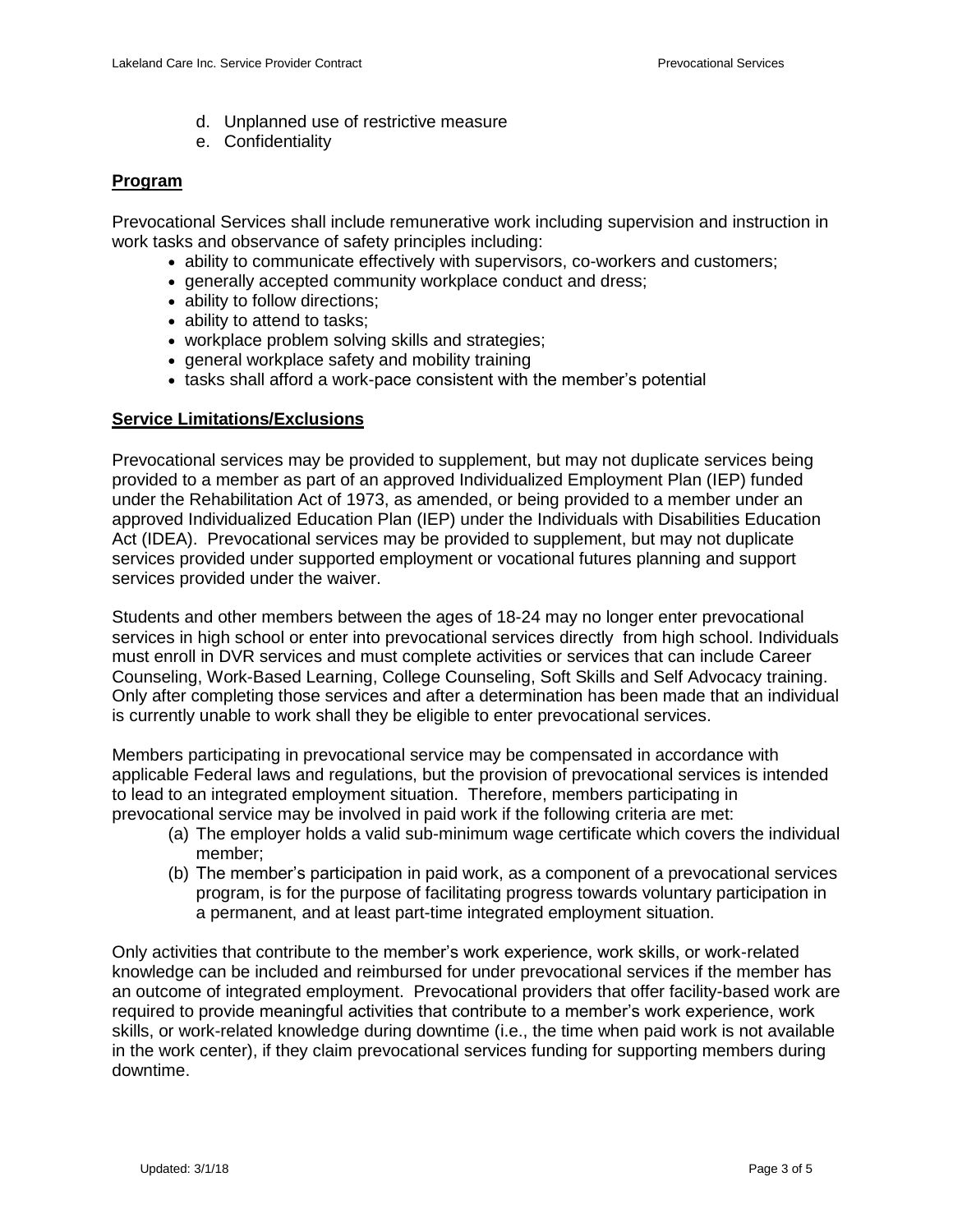- d. Unplanned use of restrictive measure
- e. Confidentiality

## **Program**

Prevocational Services shall include remunerative work including supervision and instruction in work tasks and observance of safety principles including:

- ability to communicate effectively with supervisors, co-workers and customers;
- generally accepted community workplace conduct and dress;
- ability to follow directions;
- ability to attend to tasks:
- workplace problem solving skills and strategies;
- general workplace safety and mobility training
- tasks shall afford a work-pace consistent with the member's potential

## **Service Limitations/Exclusions**

Prevocational services may be provided to supplement, but may not duplicate services being provided to a member as part of an approved Individualized Employment Plan (IEP) funded under the Rehabilitation Act of 1973, as amended, or being provided to a member under an approved Individualized Education Plan (IEP) under the Individuals with Disabilities Education Act (IDEA). Prevocational services may be provided to supplement, but may not duplicate services provided under supported employment or vocational futures planning and support services provided under the waiver.

Students and other members between the ages of 18-24 may no longer enter prevocational services in high school or enter into prevocational services directly from high school. Individuals must enroll in DVR services and must complete activities or services that can include Career Counseling, Work-Based Learning, College Counseling, Soft Skills and Self Advocacy training. Only after completing those services and after a determination has been made that an individual is currently unable to work shall they be eligible to enter prevocational services.

Members participating in prevocational service may be compensated in accordance with applicable Federal laws and regulations, but the provision of prevocational services is intended to lead to an integrated employment situation. Therefore, members participating in prevocational service may be involved in paid work if the following criteria are met:

- (a) The employer holds a valid sub-minimum wage certificate which covers the individual member;
- (b) The member's participation in paid work, as a component of a prevocational services program, is for the purpose of facilitating progress towards voluntary participation in a permanent, and at least part-time integrated employment situation.

Only activities that contribute to the member's work experience, work skills, or work-related knowledge can be included and reimbursed for under prevocational services if the member has an outcome of integrated employment. Prevocational providers that offer facility-based work are required to provide meaningful activities that contribute to a member's work experience, work skills, or work-related knowledge during downtime (i.e., the time when paid work is not available in the work center), if they claim prevocational services funding for supporting members during downtime.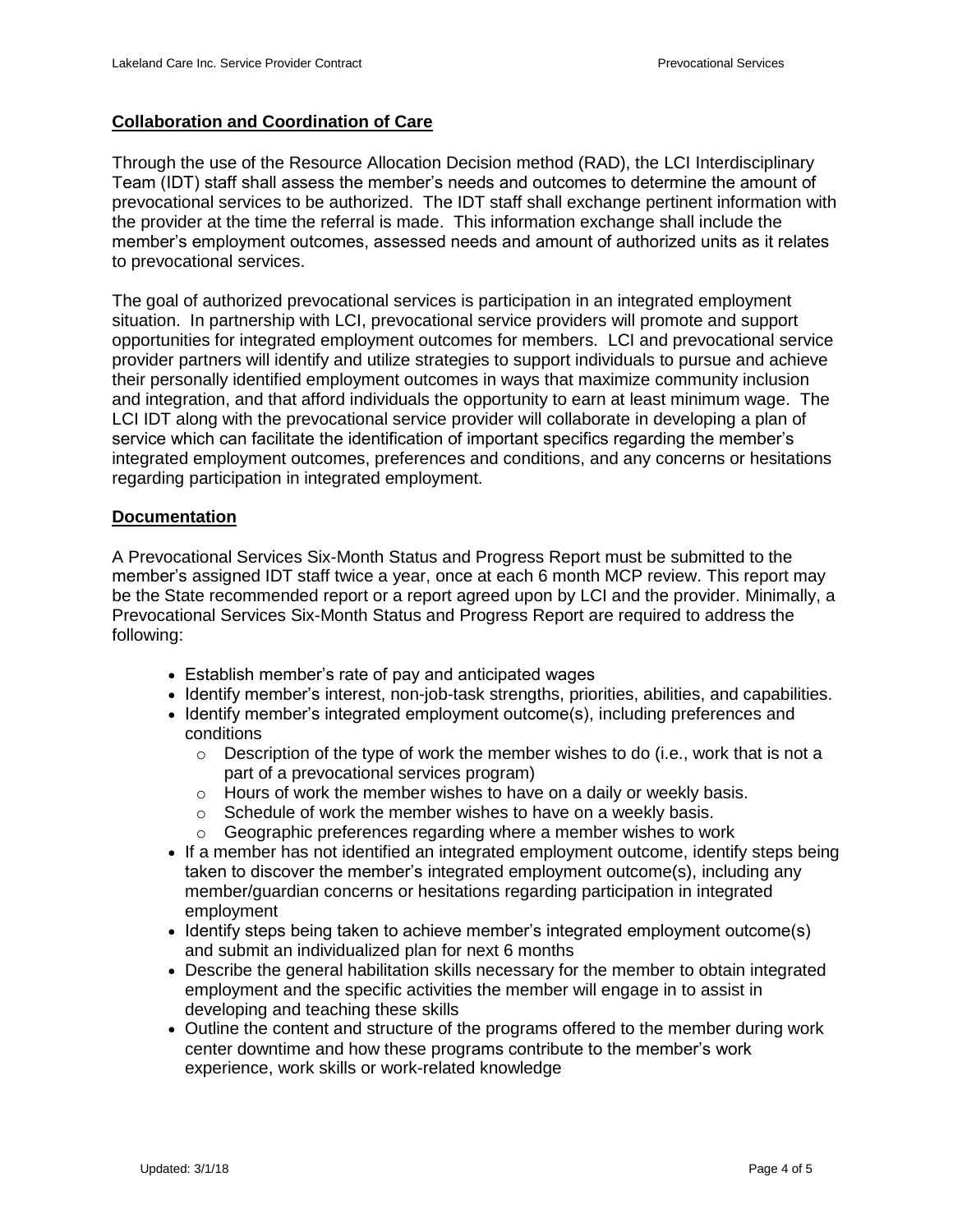## **Collaboration and Coordination of Care**

Through the use of the Resource Allocation Decision method (RAD), the LCI Interdisciplinary Team (IDT) staff shall assess the member's needs and outcomes to determine the amount of prevocational services to be authorized. The IDT staff shall exchange pertinent information with the provider at the time the referral is made. This information exchange shall include the member's employment outcomes, assessed needs and amount of authorized units as it relates to prevocational services.

The goal of authorized prevocational services is participation in an integrated employment situation. In partnership with LCI, prevocational service providers will promote and support opportunities for integrated employment outcomes for members. LCI and prevocational service provider partners will identify and utilize strategies to support individuals to pursue and achieve their personally identified employment outcomes in ways that maximize community inclusion and integration, and that afford individuals the opportunity to earn at least minimum wage. The LCI IDT along with the prevocational service provider will collaborate in developing a plan of service which can facilitate the identification of important specifics regarding the member's integrated employment outcomes, preferences and conditions, and any concerns or hesitations regarding participation in integrated employment.

## **Documentation**

A Prevocational Services Six-Month Status and Progress Report must be submitted to the member's assigned IDT staff twice a year, once at each 6 month MCP review. This report may be the State recommended report or a report agreed upon by LCI and the provider. Minimally, a Prevocational Services Six-Month Status and Progress Report are required to address the following:

- Establish member's rate of pay and anticipated wages
- Identify member's interest, non-job-task strengths, priorities, abilities, and capabilities.
- Identify member's integrated employment outcome(s), including preferences and conditions
	- $\circ$  Description of the type of work the member wishes to do (i.e., work that is not a part of a prevocational services program)
	- o Hours of work the member wishes to have on a daily or weekly basis.
	- o Schedule of work the member wishes to have on a weekly basis.
	- o Geographic preferences regarding where a member wishes to work
- If a member has not identified an integrated employment outcome, identify steps being taken to discover the member's integrated employment outcome(s), including any member/guardian concerns or hesitations regarding participation in integrated employment
- Identify steps being taken to achieve member's integrated employment outcome(s) and submit an individualized plan for next 6 months
- Describe the general habilitation skills necessary for the member to obtain integrated employment and the specific activities the member will engage in to assist in developing and teaching these skills
- Outline the content and structure of the programs offered to the member during work center downtime and how these programs contribute to the member's work experience, work skills or work-related knowledge